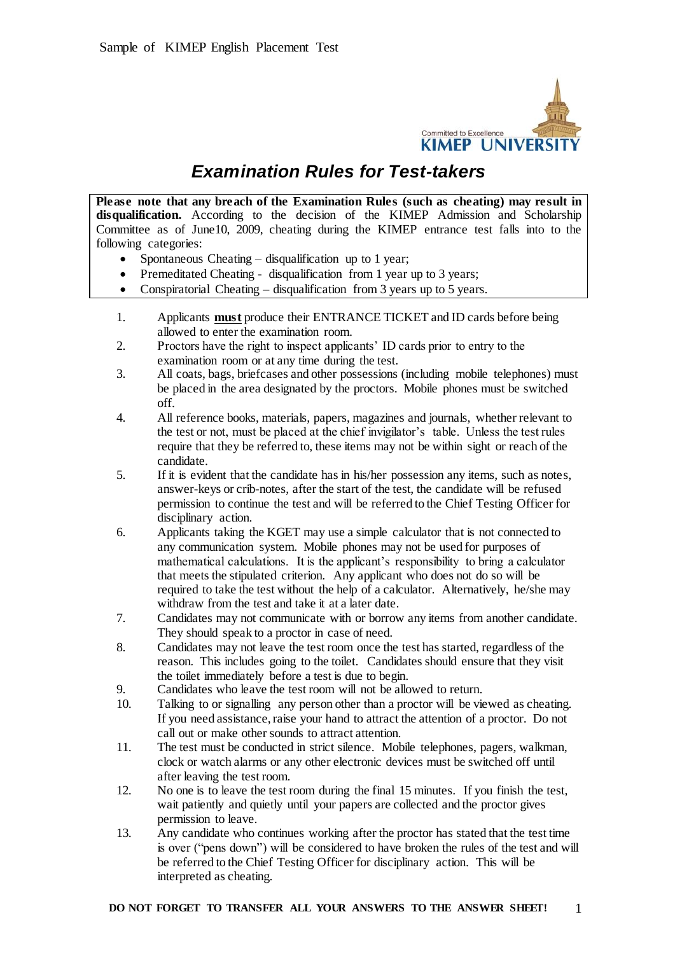

# *Examination Rules for Test-takers*

**Please note that any breach of the Examination Rules (such as cheating) may result in disqualification.** According to the decision of the KIMEP Admission and Scholarship Committee as of June10, 2009, cheating during the KIMEP entrance test falls into to the following categories:

- Spontaneous Cheating disqualification up to 1 year;
- Premeditated Cheating disqualification from 1 year up to 3 years;
- Conspiratorial Cheating disqualification from 3 years up to 5 years.
- 1. Applicants **must** produce their ENTRANCE TICKET and ID cards before being allowed to enter the examination room.
- 2. Proctors have the right to inspect applicants' ID cards prior to entry to the examination room or at any time during the test.
- 3. All coats, bags, briefcases and other possessions (including mobile telephones) must be placed in the area designated by the proctors. Mobile phones must be switched off.
- 4. All reference books, materials, papers, magazines and journals, whether relevant to the test or not, must be placed at the chief invigilator's table. Unless the test rules require that they be referred to, these items may not be within sight or reach of the candidate.
- 5. If it is evident that the candidate has in his/her possession any items, such as notes, answer-keys or crib-notes, after the start of the test, the candidate will be refused permission to continue the test and will be referred to the Chief Testing Officer for disciplinary action.
- 6. Applicants taking the KGET may use a simple calculator that is not connected to any communication system. Mobile phones may not be used for purposes of mathematical calculations. It is the applicant's responsibility to bring a calculator that meets the stipulated criterion. Any applicant who does not do so will be required to take the test without the help of a calculator. Alternatively, he/she may withdraw from the test and take it at a later date.
- 7. Candidates may not communicate with or borrow any items from another candidate. They should speak to a proctor in case of need.
- 8. Candidates may not leave the test room once the test has started, regardless of the reason. This includes going to the toilet. Candidates should ensure that they visit the toilet immediately before a test is due to begin.
- 9. Candidates who leave the test room will not be allowed to return.
- 10. Talking to or signalling any person other than a proctor will be viewed as cheating. If you need assistance, raise your hand to attract the attention of a proctor. Do not call out or make other sounds to attract attention.
- 11. The test must be conducted in strict silence. Mobile telephones, pagers, walkman, clock or watch alarms or any other electronic devices must be switched off until after leaving the test room.
- 12. No one is to leave the test room during the final 15 minutes. If you finish the test, wait patiently and quietly until your papers are collected and the proctor gives permission to leave.
- 13. Any candidate who continues working after the proctor has stated that the test time is over ("pens down") will be considered to have broken the rules of the test and will be referred to the Chief Testing Officer for disciplinary action. This will be interpreted as cheating.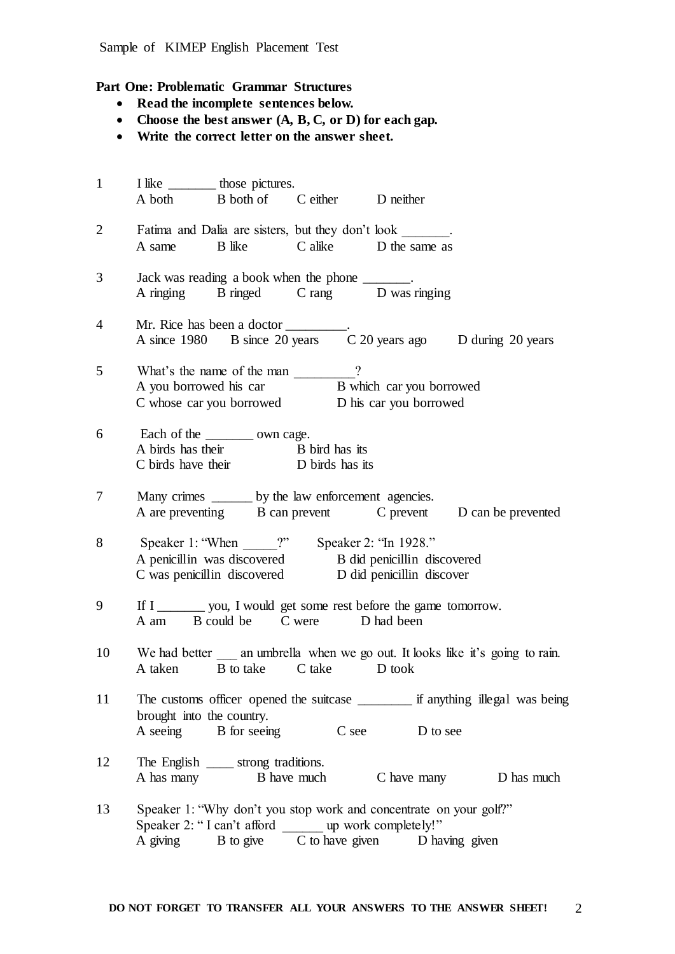## **Part One: Problematic Grammar Structures**

- **Read the incomplete sentences below.**
- **Choose the best answer (A, B, C, or D) for each gap.**
- **Write the correct letter on the answer sheet.**

| $\mathbf{1}$   |                           | I like _________ those pictures.                                             |                                                                                                            |                                                                                   |
|----------------|---------------------------|------------------------------------------------------------------------------|------------------------------------------------------------------------------------------------------------|-----------------------------------------------------------------------------------|
|                |                           | A both B both of C either D neither                                          |                                                                                                            |                                                                                   |
| $\overline{2}$ |                           |                                                                              | Fatima and Dalia are sisters, but they don't look _______.                                                 |                                                                                   |
|                |                           |                                                                              | A same B like C alike D the same as                                                                        |                                                                                   |
| 3              |                           | Jack was reading a book when the phone _______.                              |                                                                                                            |                                                                                   |
|                |                           |                                                                              | A ringing B ringed C rang D was ringing                                                                    |                                                                                   |
| $\overline{4}$ |                           |                                                                              |                                                                                                            |                                                                                   |
|                |                           |                                                                              |                                                                                                            |                                                                                   |
| 5              |                           | What's the name of the man ________?                                         |                                                                                                            |                                                                                   |
|                |                           |                                                                              | A you borrowed his car<br>B which car you borrowed<br>D his car you borrowed<br>D his car you borrowed     |                                                                                   |
|                |                           |                                                                              |                                                                                                            |                                                                                   |
| 6              |                           | Each of the __________ own cage.                                             |                                                                                                            |                                                                                   |
|                |                           | A birds has their<br>B bird has its<br>C birds have their<br>D birds has its |                                                                                                            |                                                                                   |
|                |                           |                                                                              |                                                                                                            |                                                                                   |
| 7              |                           | Many crimes _______ by the law enforcement agencies.                         |                                                                                                            |                                                                                   |
|                |                           |                                                                              |                                                                                                            | A are preventing B can prevent C prevent D can be prevented                       |
| 8              |                           |                                                                              |                                                                                                            |                                                                                   |
|                |                           |                                                                              | Speaker 1: "When ______?" Speaker 2: "In 1928."<br>A penicillin was discovered B did penicillin discovered |                                                                                   |
|                |                           |                                                                              | C was penicillin discovered D did penicillin discover                                                      |                                                                                   |
| 9              |                           |                                                                              | If I _________ you, I would get some rest before the game tomorrow.                                        |                                                                                   |
|                |                           | A am B could be C were D had been                                            |                                                                                                            |                                                                                   |
| 10             |                           |                                                                              |                                                                                                            | We had better _____ an umbrella when we go out. It looks like it's going to rain. |
|                |                           | A taken B to take C take D took                                              |                                                                                                            |                                                                                   |
| 11             |                           |                                                                              |                                                                                                            |                                                                                   |
|                | brought into the country. |                                                                              |                                                                                                            |                                                                                   |
|                |                           | A seeing B for seeing                                                        | C see D to see                                                                                             |                                                                                   |
| 12             |                           | The English ______ strong traditions.                                        |                                                                                                            |                                                                                   |
|                |                           |                                                                              |                                                                                                            | A has many B have much C have many D has much                                     |
| 13             |                           |                                                                              | Speaker 1: "Why don't you stop work and concentrate on your golf?"                                         |                                                                                   |
|                |                           | Speaker 2: "I can't afford _______ up work completely!"                      |                                                                                                            |                                                                                   |
|                | A giving                  |                                                                              | B to give C to have given D having given                                                                   |                                                                                   |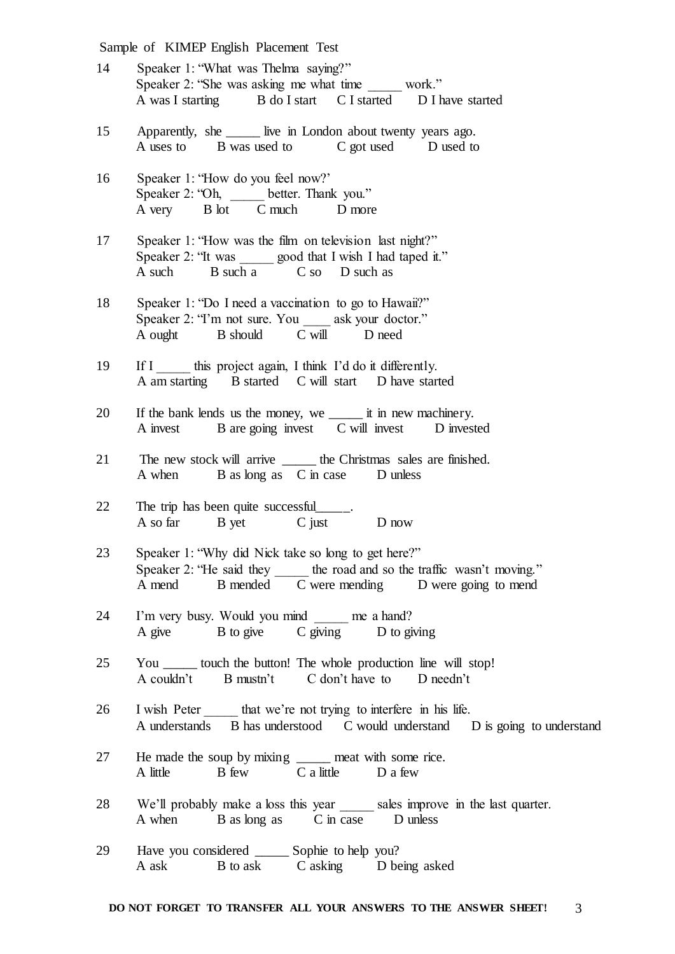| 15<br>Apparently, she ______ live in London about twenty years ago.<br>A uses to B was used to C got used D used to<br>16<br>Speaker 1: "How do you feel now?"<br>Speaker 2: "Oh, ______ better. Thank you."<br>A very B lot C much<br>D more<br>17<br>Speaker 1: "How was the film on television last night?"<br>Speaker 2: "It was ______ good that I wish I had taped it."<br>A such B such a C so D such as<br>18<br>Speaker 1: "Do I need a vaccination to go to Hawaii?"<br>Speaker 2: "I'm not sure. You _____ ask your doctor."<br>A ought B should C will D need<br>19<br>If I this project again, I think I'd do it differently.<br>A am starting B started C will start D have started<br>If the bank lends us the money, we ________ it in new machinery.<br>20<br>A invest B are going invest C will invest D invested<br>21<br>The new stock will arrive _______ the Christmas sales are finished.<br>A when B as long as C in case D unless<br>22<br>The trip has been quite successful<br>A so far B yet C just D now<br>Speaker 1: "Why did Nick take so long to get here?"<br>23<br>Speaker 2: "He said they _______ the road and so the traffic wasn't moving.<br>A mend B mended C were mending D were going to mend<br>24<br>I'm very busy. Would you mind ______ me a hand?<br>A give B to give C giving D to giving<br>25<br>You _______ touch the button! The whole production line will stop!<br>A couldn't B mustn't C don't have to D needn't<br>26<br>I wish Peter that we're not trying to interfere in his life.<br>A understands B has understood C would understand D is going to understand<br>27<br>He made the soup by mixing ______ meat with some rice.<br>A little B few C a little D a few |  |
|-----------------------------------------------------------------------------------------------------------------------------------------------------------------------------------------------------------------------------------------------------------------------------------------------------------------------------------------------------------------------------------------------------------------------------------------------------------------------------------------------------------------------------------------------------------------------------------------------------------------------------------------------------------------------------------------------------------------------------------------------------------------------------------------------------------------------------------------------------------------------------------------------------------------------------------------------------------------------------------------------------------------------------------------------------------------------------------------------------------------------------------------------------------------------------------------------------------------------------------------------------------------------------------------------------------------------------------------------------------------------------------------------------------------------------------------------------------------------------------------------------------------------------------------------------------------------------------------------------------------------------------------------------------------------------------------------------------------------------------|--|
|                                                                                                                                                                                                                                                                                                                                                                                                                                                                                                                                                                                                                                                                                                                                                                                                                                                                                                                                                                                                                                                                                                                                                                                                                                                                                                                                                                                                                                                                                                                                                                                                                                                                                                                                   |  |
|                                                                                                                                                                                                                                                                                                                                                                                                                                                                                                                                                                                                                                                                                                                                                                                                                                                                                                                                                                                                                                                                                                                                                                                                                                                                                                                                                                                                                                                                                                                                                                                                                                                                                                                                   |  |
|                                                                                                                                                                                                                                                                                                                                                                                                                                                                                                                                                                                                                                                                                                                                                                                                                                                                                                                                                                                                                                                                                                                                                                                                                                                                                                                                                                                                                                                                                                                                                                                                                                                                                                                                   |  |
|                                                                                                                                                                                                                                                                                                                                                                                                                                                                                                                                                                                                                                                                                                                                                                                                                                                                                                                                                                                                                                                                                                                                                                                                                                                                                                                                                                                                                                                                                                                                                                                                                                                                                                                                   |  |
|                                                                                                                                                                                                                                                                                                                                                                                                                                                                                                                                                                                                                                                                                                                                                                                                                                                                                                                                                                                                                                                                                                                                                                                                                                                                                                                                                                                                                                                                                                                                                                                                                                                                                                                                   |  |
|                                                                                                                                                                                                                                                                                                                                                                                                                                                                                                                                                                                                                                                                                                                                                                                                                                                                                                                                                                                                                                                                                                                                                                                                                                                                                                                                                                                                                                                                                                                                                                                                                                                                                                                                   |  |
|                                                                                                                                                                                                                                                                                                                                                                                                                                                                                                                                                                                                                                                                                                                                                                                                                                                                                                                                                                                                                                                                                                                                                                                                                                                                                                                                                                                                                                                                                                                                                                                                                                                                                                                                   |  |
|                                                                                                                                                                                                                                                                                                                                                                                                                                                                                                                                                                                                                                                                                                                                                                                                                                                                                                                                                                                                                                                                                                                                                                                                                                                                                                                                                                                                                                                                                                                                                                                                                                                                                                                                   |  |
|                                                                                                                                                                                                                                                                                                                                                                                                                                                                                                                                                                                                                                                                                                                                                                                                                                                                                                                                                                                                                                                                                                                                                                                                                                                                                                                                                                                                                                                                                                                                                                                                                                                                                                                                   |  |
|                                                                                                                                                                                                                                                                                                                                                                                                                                                                                                                                                                                                                                                                                                                                                                                                                                                                                                                                                                                                                                                                                                                                                                                                                                                                                                                                                                                                                                                                                                                                                                                                                                                                                                                                   |  |
|                                                                                                                                                                                                                                                                                                                                                                                                                                                                                                                                                                                                                                                                                                                                                                                                                                                                                                                                                                                                                                                                                                                                                                                                                                                                                                                                                                                                                                                                                                                                                                                                                                                                                                                                   |  |
|                                                                                                                                                                                                                                                                                                                                                                                                                                                                                                                                                                                                                                                                                                                                                                                                                                                                                                                                                                                                                                                                                                                                                                                                                                                                                                                                                                                                                                                                                                                                                                                                                                                                                                                                   |  |
|                                                                                                                                                                                                                                                                                                                                                                                                                                                                                                                                                                                                                                                                                                                                                                                                                                                                                                                                                                                                                                                                                                                                                                                                                                                                                                                                                                                                                                                                                                                                                                                                                                                                                                                                   |  |
| 28<br>We'll probably make a loss this year sales improve in the last quarter.<br>A when B as long as C in case D unless                                                                                                                                                                                                                                                                                                                                                                                                                                                                                                                                                                                                                                                                                                                                                                                                                                                                                                                                                                                                                                                                                                                                                                                                                                                                                                                                                                                                                                                                                                                                                                                                           |  |
| Have you considered _______ Sophie to help you?<br>29<br>A ask B to ask C asking D being asked                                                                                                                                                                                                                                                                                                                                                                                                                                                                                                                                                                                                                                                                                                                                                                                                                                                                                                                                                                                                                                                                                                                                                                                                                                                                                                                                                                                                                                                                                                                                                                                                                                    |  |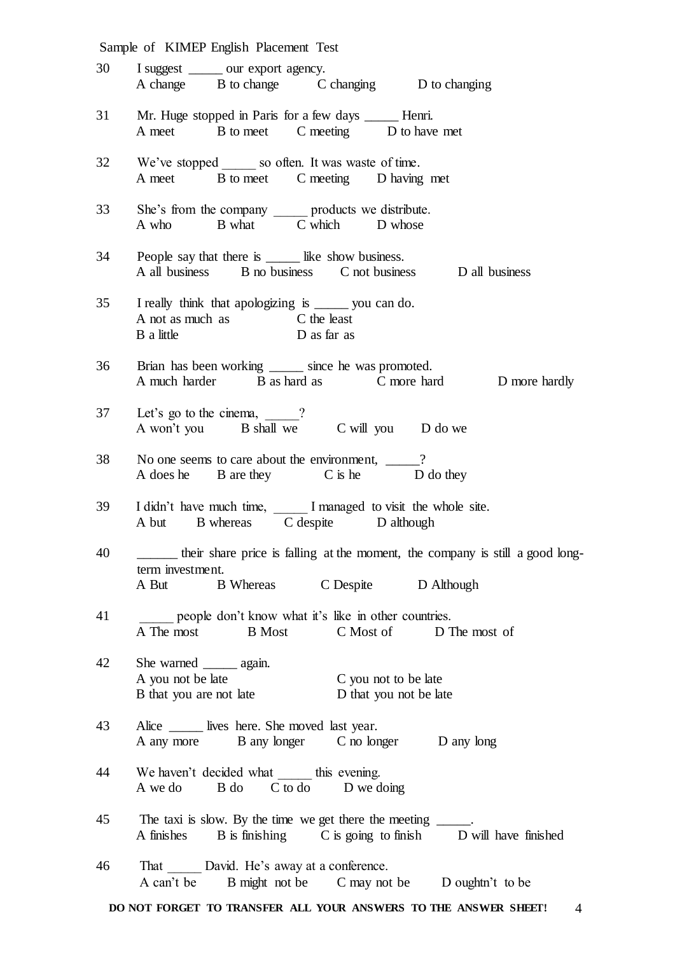|    | Sample of KIMEP English Placement Test                                                                                                    |
|----|-------------------------------------------------------------------------------------------------------------------------------------------|
| 30 | I suggest _______ our export agency.<br>A change B to change C changing D to changing                                                     |
|    | 31 Mr. Huge stopped in Paris for a few days ______ Henri.<br>A meet B to meet C meeting D to have met                                     |
|    | 32 We've stopped ______ so often. It was waste of time.<br>A meet B to meet C meeting D having met                                        |
|    | 33 She's from the company ______ products we distribute.<br>A who B what C which D whose                                                  |
| 34 | People say that there is _____ like show business.<br>A all business B no business C not business D all business                          |
| 35 | I really think that apologizing is ______ you can do.<br>A not as much as C the least<br>B a little<br>D as far as                        |
| 36 | Brian has been working ______ since he was promoted.<br>A much harder B as hard as C more hard D more hardly                              |
| 37 | Let's go to the cinema, $\frac{1}{\sqrt{2}}$ ?<br>A won't you B shall we C will you D do we                                               |
| 38 | No one seems to care about the environment, ____?<br>A does he B are they C is he D do they                                               |
| 39 | I didn't have much time, _____ I managed to visit the whole site.<br>A but B whereas C despite D although                                 |
| 40 | their share price is falling at the moment, the company is still a good long-<br>term investment.<br>A But B Whereas C Despite D Although |
| 41 | people don't know what it's like in other countries.<br>A The most<br>B Most C Most of D The most of                                      |
| 42 | She warned _______ again.<br>A you not be late<br>C you not to be late<br>D that you not be late<br>B that you are not late               |
| 43 | Alice _______ lives here. She moved last year.<br>A any more B any longer C no longer D any long                                          |
| 44 | We haven't decided what ______ this evening.<br>A we do B do C to do D we doing                                                           |
| 45 | The taxi is slow. By the time we get there the meeting ______.<br>A finishes B is finishing C is going to finish D will have finished     |
| 46 | That David. He's away at a conference.<br>B might not be C may not be D oughtn't to be<br>A can't be                                      |

**DO NOT FORGET TO TRANSFER ALL YOUR ANSWERS TO THE ANSWER SHEET!** 4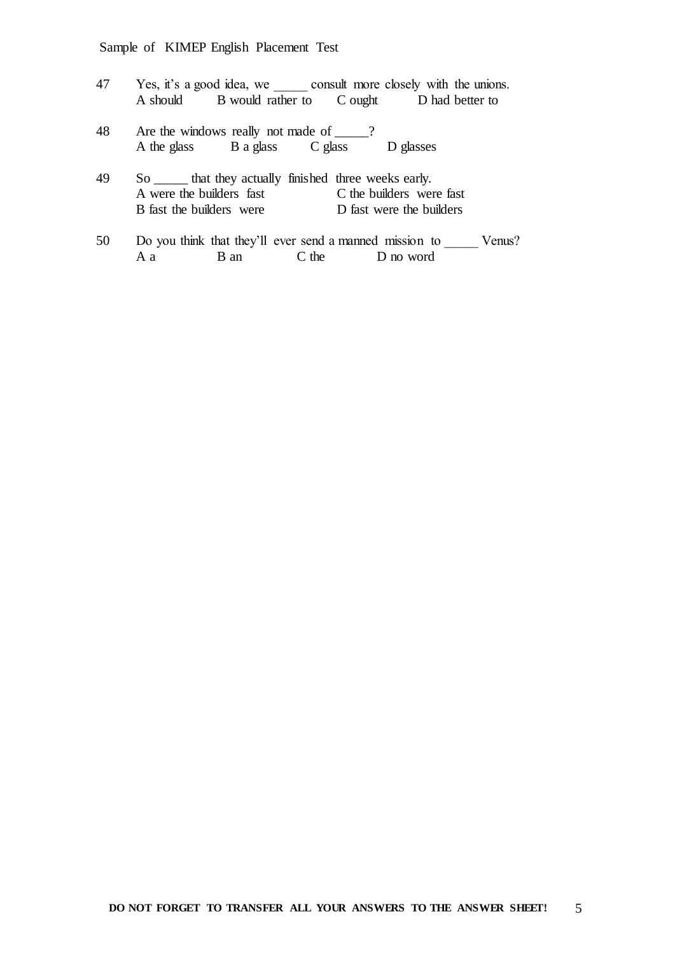| 47 |                                                          |                           |         | Yes, it's a good idea, we consult more closely with the unions. |
|----|----------------------------------------------------------|---------------------------|---------|-----------------------------------------------------------------|
|    | A should                                                 | B would rather to C ought |         | D had better to                                                 |
| 48 | Are the windows really not made of _____?<br>A the glass | B a glass                 | C glass | D glasses                                                       |

- 49 So \_\_\_\_\_ that they actually finished three weeks early. A were the builders fast C the builders were fast B fast the builders were D fast were the builders B fast the builders were
- 50 Do you think that they'll ever send a manned mission to \_\_\_\_\_\_ Venus?<br>A a B an C the D no word A a B an C the D no word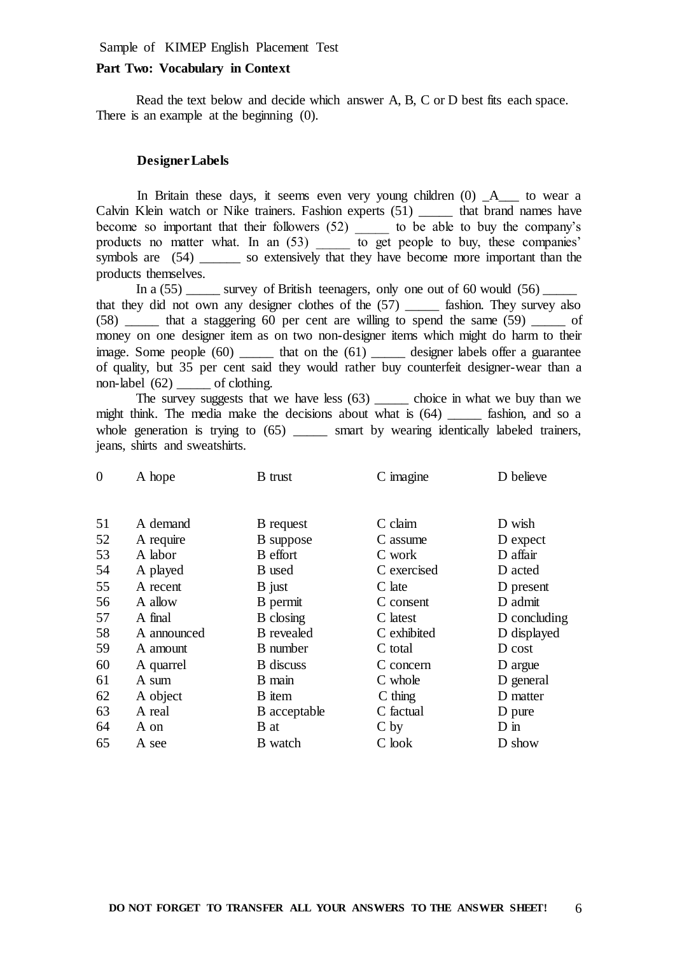## **Part Two: Vocabulary in Context**

Read the text below and decide which answer A, B, C or D best fits each space. There is an example at the beginning  $(0)$ .

#### **Designer Labels**

In Britain these days, it seems even very young children (0) \_A\_\_\_ to wear a Calvin Klein watch or Nike trainers. Fashion experts (51) \_\_\_\_\_ that brand names have become so important that their followers (52) \_\_\_\_\_ to be able to buy the company's products no matter what. In an (53) to get people to buy, these companies' symbols are  $(54)$  \_\_\_\_\_\_ so extensively that they have become more important than the products themselves.

In a  $(55)$  survey of British teenagers, only one out of 60 would  $(56)$ that they did not own any designer clothes of the (57) \_\_\_\_\_ fashion. They survey also  $(58)$  that a staggering 60 per cent are willing to spend the same  $(59)$  of money on one designer item as on two non-designer items which might do harm to their image. Some people  $(60)$  that on the  $(61)$  designer labels offer a guarantee of quality, but 35 per cent said they would rather buy counterfeit designer-wear than a non-label  $(62)$  of clothing.

The survey suggests that we have less (63) \_\_\_\_\_\_ choice in what we buy than we might think. The media make the decisions about what is (64) \_\_\_\_\_ fashion, and so a whole generation is trying to (65) \_\_\_\_\_\_ smart by wearing identically labeled trainers, jeans, shirts and sweatshirts.

| A hope      | <b>B</b> trust        | C imagine                     | D believe           |
|-------------|-----------------------|-------------------------------|---------------------|
|             |                       |                               | D wish              |
|             |                       |                               | D expect            |
| A labor     | B effort              | C work                        | D affair            |
| A played    | B used                | C exercised                   | D acted             |
| A recent    | B just                | C late                        | D present           |
| A allow     | B permit              | C consent                     | D admit             |
| A final     | B closing             | C latest                      | D concluding        |
| A announced | <b>B</b> revealed     | C exhibited                   | D displayed         |
| A amount    | <b>B</b> number       | C total                       | D cost              |
| A quarrel   | <b>B</b> discuss      | C concern                     | D argue             |
| A sum       | B main                | C whole                       | D general           |
| A object    | B item                | $C \t{thing}$                 | D matter            |
| A real      | B acceptable          | C factual                     | D pure              |
| A on        | B at                  | C <sub>by</sub>               | $D$ in              |
| A see       | B watch               | C look                        | D show              |
|             | A demand<br>A require | <b>B</b> request<br>B suppose | C claim<br>C assume |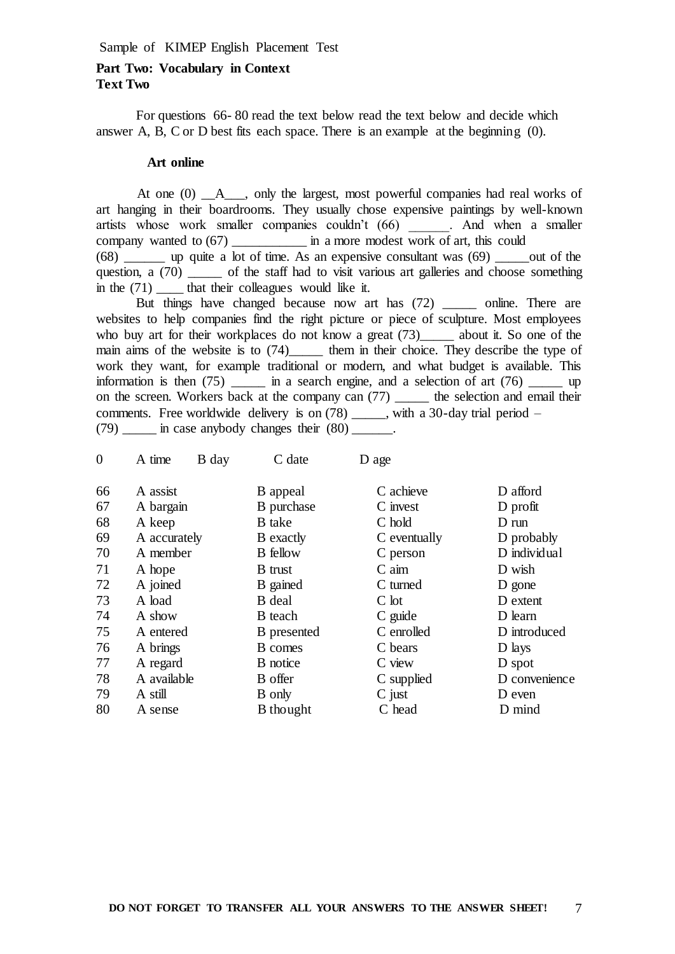# **Part Two: Vocabulary in Context Text Two**

For questions 66- 80 read the text below read the text below and decide which answer A, B, C or D best fits each space. There is an example at the beginning (0).

#### **Art online**

At one  $(0)$   $\quad$  A  $\quad$ , only the largest, most powerful companies had real works of art hanging in their boardrooms. They usually chose expensive paintings by well-known artists whose work smaller companies couldn't (66) \_\_\_\_\_\_. And when a smaller company wanted to (67) \_\_\_\_\_\_\_\_\_\_\_\_\_\_\_\_\_ in a more modest work of art, this could  $(68)$  up quite a lot of time. As an expensive consultant was  $(69)$  out of the question, a (70) \_\_\_\_\_ of the staff had to visit various art galleries and choose something in the  $(71)$  that their colleagues would like it.

But things have changed because now art has (72) \_\_\_\_\_ online. There are websites to help companies find the right picture or piece of sculpture. Most employees who buy art for their workplaces do not know a great (73) about it. So one of the main aims of the website is to (74)\_\_\_\_\_\_\_ them in their choice. They describe the type of work they want, for example traditional or modern, and what budget is available. This information is then  $(75)$  \_\_\_\_\_\_ in a search engine, and a selection of art  $(76)$  up on the screen. Workers back at the company can (77) \_\_\_\_\_ the selection and email their comments. Free worldwide delivery is on (78) \_\_\_\_\_, with a 30-day trial period –  $(79)$  in case anybody changes their  $(80)$ .

| $\overline{0}$ | A time       | B day | C date           | D age           |                 |
|----------------|--------------|-------|------------------|-----------------|-----------------|
| 66             | A assist     |       | B appeal         | C achieve       | D afford        |
| 67             | A bargain    |       | B purchase       | C invest        | D profit        |
| 68             | A keep       |       | <b>B</b> take    | C hold          | $D \text{ run}$ |
| 69             | A accurately |       | <b>B</b> exactly | C eventually    | D probably      |
| 70             | A member     |       | <b>B</b> fellow  | C person        | D individual    |
| 71             | A hope       |       | <b>B</b> trust   | $C \text{ aim}$ | D wish          |
| 72             | A joined     |       | B gained         | C turned        | D gone          |
| 73             | A load       |       | B deal           | $C$ lot         | D extent        |
| 74             | A show       |       | B teach          | C guide         | D learn         |
| 75             | A entered    |       | B presented      | C enrolled      | D introduced    |
| 76             | A brings     |       | <b>B</b> comes   | C bears         | D lays          |
| 77             | A regard     |       | <b>B</b> notice  | C view          | D spot          |
| 78             | A available  |       | <b>B</b> offer   | C supplied      | D convenience   |
| 79             | A still      |       | <b>B</b> only    | $C$ just        | D even          |
| 80             | A sense      |       | <b>B</b> thought | C head          | D mind          |
|                |              |       |                  |                 |                 |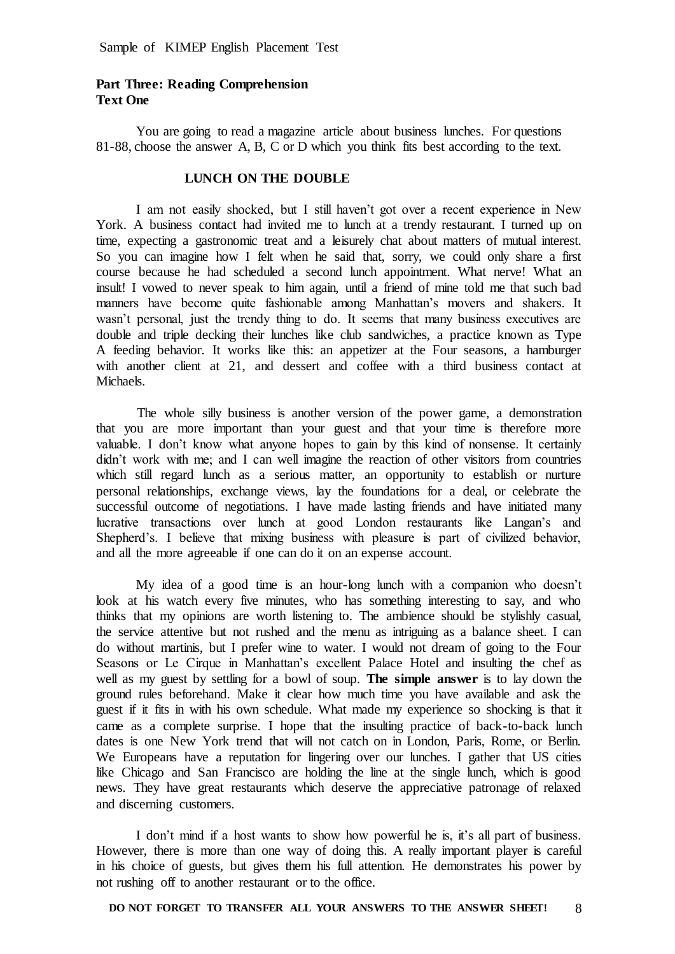# **Part Three: Reading Comprehension Text One**

You are going to read a magazine article about business lunches. For questions 81-88, choose the answer A, B, C or D which you think fits best according to the text.

#### **LUNCH ON THE DOUBLE**

I am not easily shocked, but I still haven't got over a recent experience in New York. A business contact had invited me to lunch at a trendy restaurant. I turned up on time, expecting a gastronomic treat and a leisurely chat about matters of mutual interest. So you can imagine how I felt when he said that, sorry, we could only share a first course because he had scheduled a second lunch appointment. What nerve! What an insult! I vowed to never speak to him again, until a friend of mine told me that such bad manners have become quite fashionable among Manhattan's movers and shakers. It wasn't personal, just the trendy thing to do. It seems that many business executives are double and triple decking their lunches like club sandwiches, a practice known as Type A feeding behavior. It works like this: an appetizer at the Four seasons, a hamburger with another client at 21, and dessert and coffee with a third business contact at **Michaels**.

 The whole silly business is another version of the power game, a demonstration that you are more important than your guest and that your time is therefore more valuable. I don't know what anyone hopes to gain by this kind of nonsense. It certainly didn't work with me; and I can well imagine the reaction of other visitors from countries which still regard lunch as a serious matter, an opportunity to establish or nurture personal relationships, exchange views, lay the foundations for a deal, or celebrate the successful outcome of negotiations. I have made lasting friends and have initiated many lucrative transactions over lunch at good London restaurants like Langan's and Shepherd's. I believe that mixing business with pleasure is part of civilized behavior, and all the more agreeable if one can do it on an expense account.

My idea of a good time is an hour-long lunch with a companion who doesn't look at his watch every five minutes, who has something interesting to say, and who thinks that my opinions are worth listening to. The ambience should be stylishly casual, the service attentive but not rushed and the menu as intriguing as a balance sheet. I can do without martinis, but I prefer wine to water. I would not dream of going to the Four Seasons or Le Cirque in Manhattan's excellent Palace Hotel and insulting the chef as well as my guest by settling for a bowl of soup. **The simple answer** is to lay down the ground rules beforehand. Make it clear how much time you have available and ask the guest if it fits in with his own schedule. What made my experience so shocking is that it came as a complete surprise. I hope that the insulting practice of back-to-back lunch dates is one New York trend that will not catch on in London, Paris, Rome, or Berlin. We Europeans have a reputation for lingering over our lunches. I gather that US cities like Chicago and San Francisco are holding the line at the single lunch, which is good news. They have great restaurants which deserve the appreciative patronage of relaxed and discerning customers.

I don't mind if a host wants to show how powerful he is, it's all part of business. However, there is more than one way of doing this. A really important player is careful in his choice of guests, but gives them his full attention. He demonstrates his power by not rushing off to another restaurant or to the office.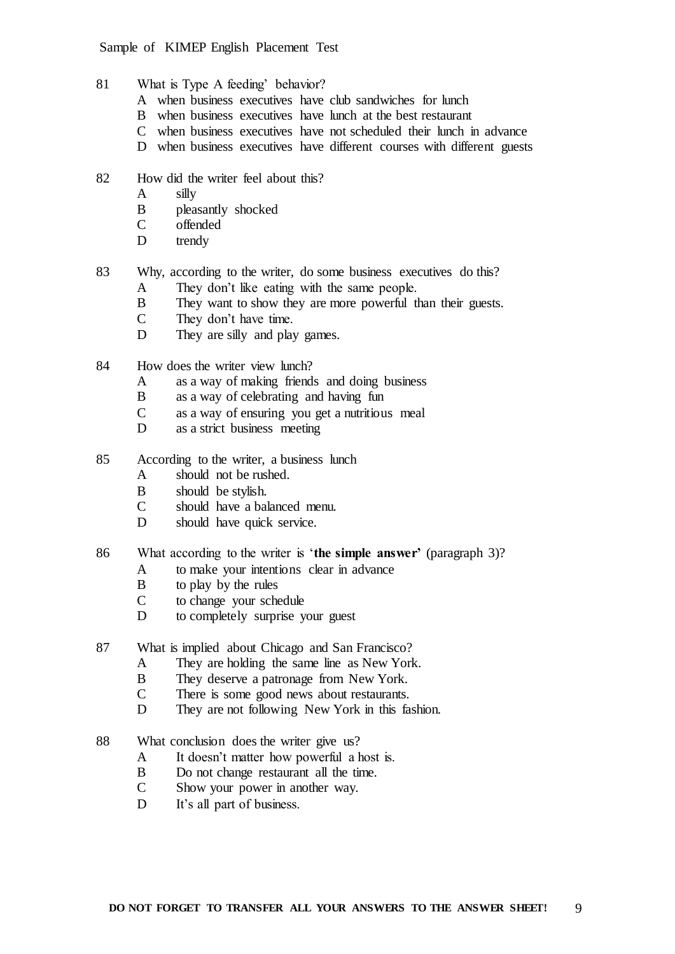- 81 What is Type A feeding' behavior?
	- A when business executives have club sandwiches for lunch
	- B when business executives have lunch at the best restaurant
	- C when business executives have not scheduled their lunch in advance
	- D when business executives have different courses with different guests
- 82 How did the writer feel about this?
	- A silly
	- B pleasantly shocked<br>C offended
	- offended
	- D trendy
- 83 Why, according to the writer, do some business executives do this?
	- A They don't like eating with the same people.
	- B They want to show they are more powerful than their guests.<br>
	C They don't have time
	- They don't have time.
	- D They are silly and play games.
- 84 How does the writer view lunch?
	- A as a way of making friends and doing business
	- B as a way of celebrating and having fun
	- C as a way of ensuring you get a nutritious meal<br>D as a strict business meeting
	- as a strict business meeting
- 85 According to the writer, a business lunch
	- A should not be rushed.
	- B should be stylish.
	- C should have a balanced menu.
	- D should have quick service.
- 86 What according to the writer is '**the simple answer'** (paragraph 3)?
	- A to make your intentions clear in advance
		- B to play by the rules
		- C to change your schedule
		- D to completely surprise your guest
- 87 What is implied about Chicago and San Francisco?
	- A They are holding the same line as New York.
	- B They deserve a patronage from New York.
	- C There is some good news about restaurants.
	- D They are not following New York in this fashion.
- 88 What conclusion does the writer give us?
	- A It doesn't matter how powerful a host is.
	- B Do not change restaurant all the time.
	- C Show your power in another way.
	- D It's all part of business.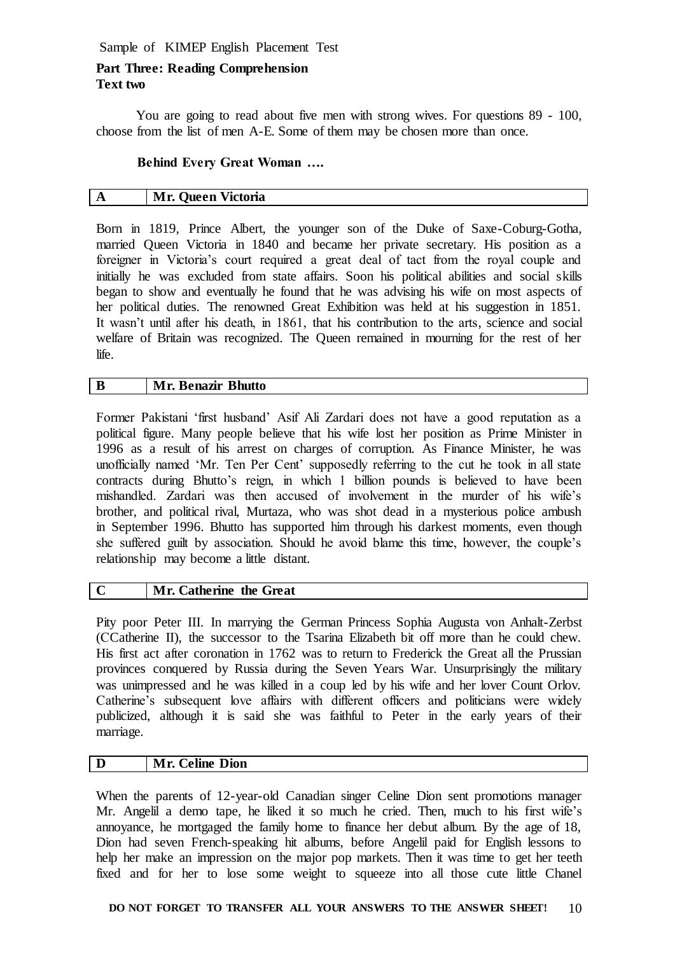# **Part Three: Reading Comprehension Text two**

You are going to read about five men with strong wives. For questions 89 - 100, choose from the list of men A-E. Some of them may be chosen more than once.

# **Behind Every Great Woman ….**

| A | <b>Mr. Queen Victoria</b> |
|---|---------------------------|

Born in 1819, Prince Albert, the younger son of the Duke of Saxe-Coburg-Gotha, married Queen Victoria in 1840 and became her private secretary. His position as a foreigner in Victoria's court required a great deal of tact from the royal couple and initially he was excluded from state affairs. Soon his political abilities and social skills began to show and eventually he found that he was advising his wife on most aspects of her political duties. The renowned Great Exhibition was held at his suggestion in 1851. It wasn't until after his death, in 1861, that his contribution to the arts, science and social welfare of Britain was recognized. The Queen remained in mourning for the rest of her life.

### **B Mr. Benazir Bhutto**

Former Pakistani 'first husband' Asif Ali Zardari does not have a good reputation as a political figure. Many people believe that his wife lost her position as Prime Minister in 1996 as a result of his arrest on charges of corruption. As Finance Minister, he was unofficially named 'Mr. Ten Per Cent' supposedly referring to the cut he took in all state contracts during Bhutto's reign, in which 1 billion pounds is believed to have been mishandled. Zardari was then accused of involvement in the murder of his wife's brother, and political rival, Murtaza, who was shot dead in a mysterious police ambush in September 1996. Bhutto has supported him through his darkest moments, even though she suffered guilt by association. Should he avoid blame this time, however, the couple's relationship may become a little distant.

### **C Mr. Catherine the Great**

Pity poor Peter III. In marrying the German Princess Sophia Augusta von Anhalt-Zerbst (СCatherine II), the successor to the Tsarina Elizabeth bit off more than he could chew. His first act after coronation in 1762 was to return to Frederick the Great all the Prussian provinces conquered by Russia during the Seven Years War. Unsurprisingly the military was unimpressed and he was killed in a coup led by his wife and her lover Count Orlov. Catherine's subsequent love affairs with different officers and politicians were widely publicized, although it is said she was faithful to Peter in the early years of their marriage.

# **D Mr. Celine Dion**

When the parents of 12-year-old Canadian singer Celine Dion sent promotions manager Mr. Angelil a demo tape, he liked it so much he cried. Then, much to his first wife's annoyance, he mortgaged the family home to finance her debut album. By the age of 18, Dion had seven French-speaking hit albums, before Angelil paid for English lessons to help her make an impression on the major pop markets. Then it was time to get her teeth fixed and for her to lose some weight to squeeze into all those cute little Chanel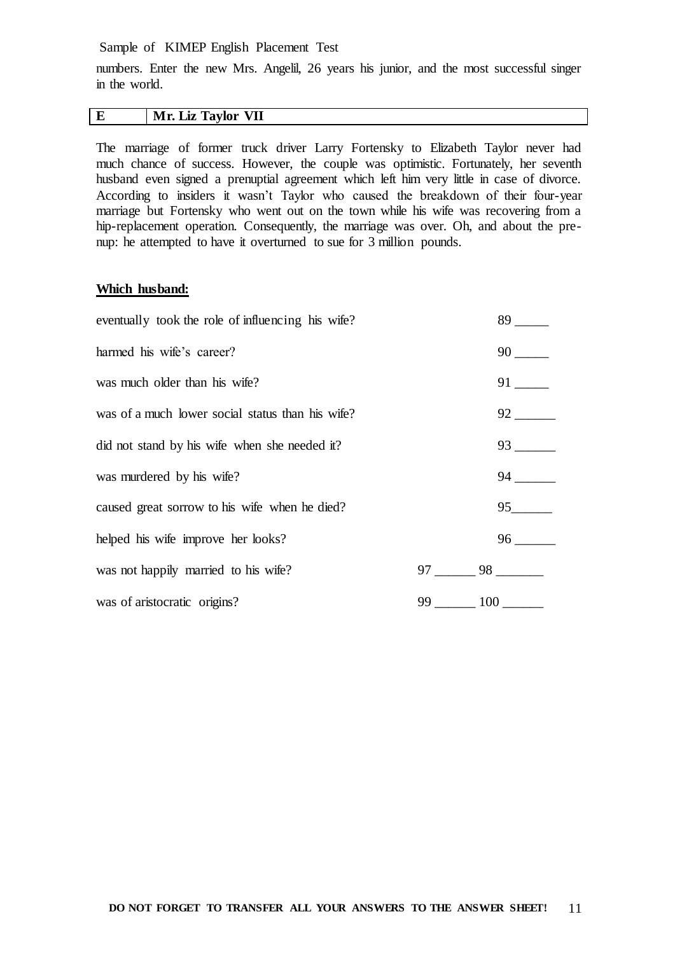numbers. Enter the new Mrs. Angelil, 26 years his junior, and the most successful singer in the world.

#### **E Mr. Liz Taylor VII**

The marriage of former truck driver Larry Fortensky to Elizabeth Taylor never had much chance of success. However, the couple was optimistic. Fortunately, her seventh husband even signed a prenuptial agreement which left him very little in case of divorce. According to insiders it wasn't Taylor who caused the breakdown of their four-year marriage but Fortensky who went out on the town while his wife was recovering from a hip-replacement operation. Consequently, the marriage was over. Oh, and about the prenup: he attempted to have it overturned to sue for 3 million pounds.

#### **Which husband:**

| eventually took the role of influencing his wife? |            | 89       |
|---------------------------------------------------|------------|----------|
| harmed his wife's career?                         |            | 90       |
| was much older than his wife?                     |            | 91 — 1   |
| was of a much lower social status than his wife?  |            | 92 — 100 |
| did not stand by his wife when she needed it?     |            | 93       |
| was murdered by his wife?                         |            | 94 —     |
| caused great sorrow to his wife when he died?     |            | 95 — 100 |
| helped his wife improve her looks?                |            | 96       |
| was not happily married to his wife?              | 97 —       | 98 — 100 |
| was of aristocratic origins?                      | 99.<br>100 |          |